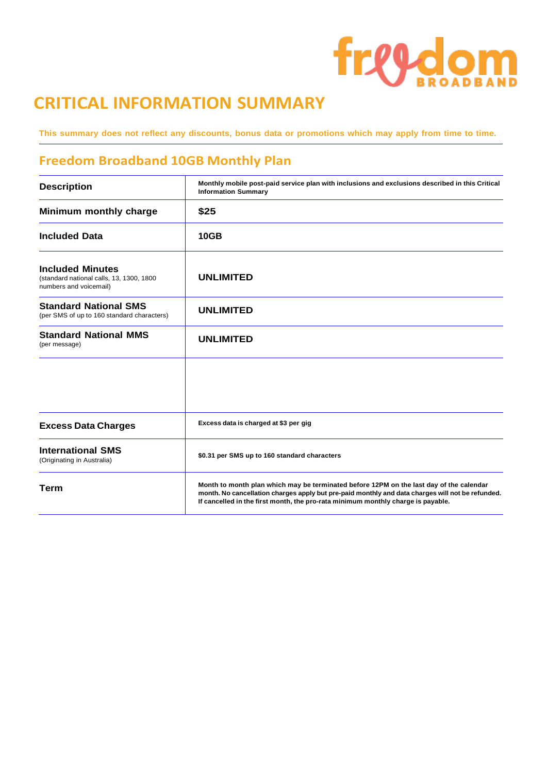# freedom

## **CRITICAL INFORMATION SUMMARY**

This summary does not reflect any discounts, bonus data or promotions which may apply from time to time.

### **Freedom Broadband 10GB Monthly Plan**

| <b>Description</b>                                                                            | Monthly mobile post-paid service plan with inclusions and exclusions described in this Critical<br><b>Information Summary</b>                                                                                                                                                   |
|-----------------------------------------------------------------------------------------------|---------------------------------------------------------------------------------------------------------------------------------------------------------------------------------------------------------------------------------------------------------------------------------|
| Minimum monthly charge                                                                        | \$25                                                                                                                                                                                                                                                                            |
| <b>Included Data</b>                                                                          | <b>10GB</b>                                                                                                                                                                                                                                                                     |
| <b>Included Minutes</b><br>(standard national calls, 13, 1300, 1800<br>numbers and voicemail) | <b>UNLIMITED</b>                                                                                                                                                                                                                                                                |
| <b>Standard National SMS</b><br>(per SMS of up to 160 standard characters)                    | <b>UNLIMITED</b>                                                                                                                                                                                                                                                                |
| <b>Standard National MMS</b><br>(per message)                                                 | <b>UNLIMITED</b>                                                                                                                                                                                                                                                                |
|                                                                                               |                                                                                                                                                                                                                                                                                 |
| <b>Excess Data Charges</b>                                                                    | Excess data is charged at \$3 per gig                                                                                                                                                                                                                                           |
| <b>International SMS</b><br>(Originating in Australia)                                        | \$0.31 per SMS up to 160 standard characters                                                                                                                                                                                                                                    |
| <b>Term</b>                                                                                   | Month to month plan which may be terminated before 12PM on the last day of the calendar<br>month. No cancellation charges apply but pre-paid monthly and data charges will not be refunded.<br>If cancelled in the first month, the pro-rata minimum monthly charge is payable. |